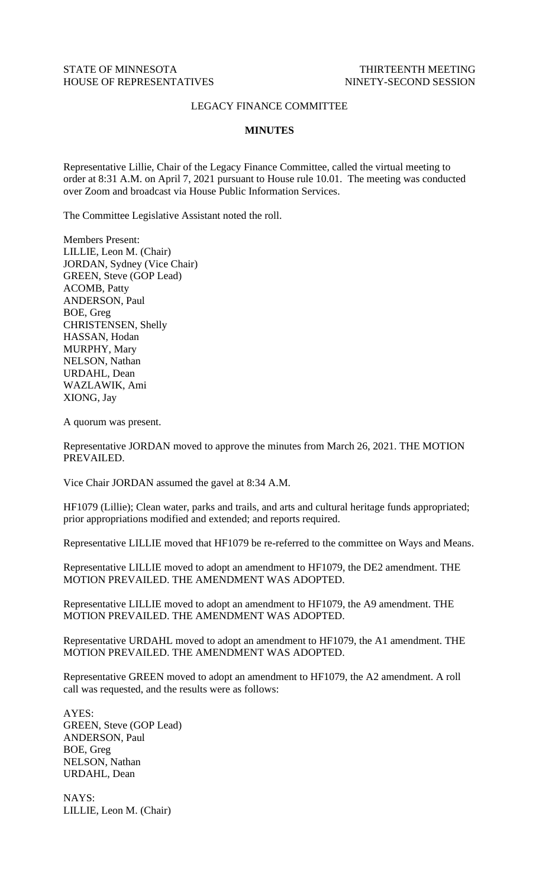## LEGACY FINANCE COMMITTEE

## **MINUTES**

Representative Lillie, Chair of the Legacy Finance Committee, called the virtual meeting to order at 8:31 A.M. on April 7, 2021 pursuant to House rule 10.01. The meeting was conducted over Zoom and broadcast via House Public Information Services.

The Committee Legislative Assistant noted the roll.

Members Present: LILLIE, Leon M. (Chair) JORDAN, Sydney (Vice Chair) GREEN, Steve (GOP Lead) ACOMB, Patty ANDERSON, Paul BOE, Greg CHRISTENSEN, Shelly HASSAN, Hodan MURPHY, Mary NELSON, Nathan URDAHL, Dean WAZLAWIK, Ami XIONG, Jay

A quorum was present.

Representative JORDAN moved to approve the minutes from March 26, 2021. THE MOTION PREVAILED.

Vice Chair JORDAN assumed the gavel at 8:34 A.M.

HF1079 (Lillie); Clean water, parks and trails, and arts and cultural heritage funds appropriated; prior appropriations modified and extended; and reports required.

Representative LILLIE moved that HF1079 be re-referred to the committee on Ways and Means.

Representative LILLIE moved to adopt an amendment to HF1079, the DE2 amendment. THE MOTION PREVAILED. THE AMENDMENT WAS ADOPTED.

Representative LILLIE moved to adopt an amendment to HF1079, the A9 amendment. THE MOTION PREVAILED. THE AMENDMENT WAS ADOPTED.

Representative URDAHL moved to adopt an amendment to HF1079, the A1 amendment. THE MOTION PREVAILED. THE AMENDMENT WAS ADOPTED.

Representative GREEN moved to adopt an amendment to HF1079, the A2 amendment. A roll call was requested, and the results were as follows:

AYES: GREEN, Steve (GOP Lead) ANDERSON, Paul BOE, Greg NELSON, Nathan URDAHL, Dean

NAYS: LILLIE, Leon M. (Chair)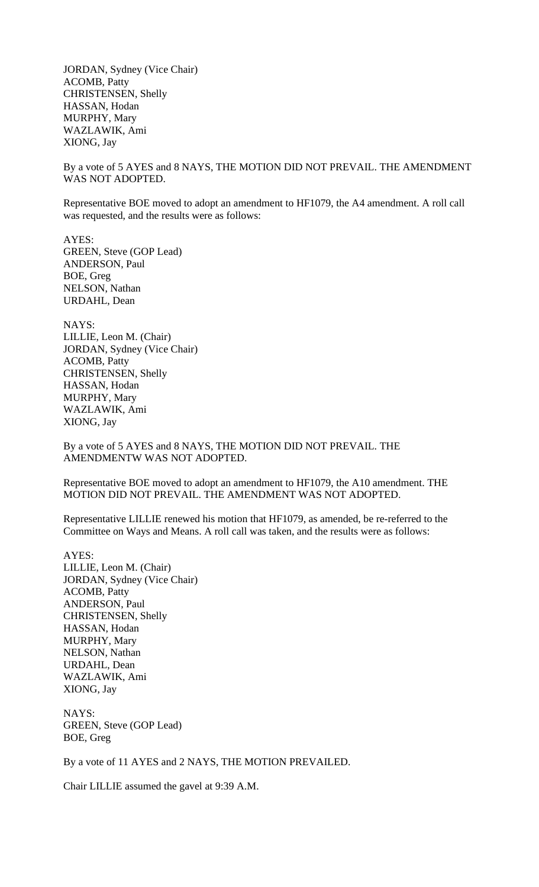JORDAN, Sydney (Vice Chair) ACOMB, Patty CHRISTENSEN, Shelly HASSAN, Hodan MURPHY, Mary WAZLAWIK, Ami XIONG, Jay

By a vote of 5 AYES and 8 NAYS, THE MOTION DID NOT PREVAIL. THE AMENDMENT WAS NOT ADOPTED.

Representative BOE moved to adopt an amendment to HF1079, the A4 amendment. A roll call was requested, and the results were as follows:

AYES: GREEN, Steve (GOP Lead) ANDERSON, Paul BOE, Greg NELSON, Nathan URDAHL, Dean

NAYS: LILLIE, Leon M. (Chair) JORDAN, Sydney (Vice Chair) ACOMB, Patty CHRISTENSEN, Shelly HASSAN, Hodan MURPHY, Mary WAZLAWIK, Ami XIONG, Jay

By a vote of 5 AYES and 8 NAYS, THE MOTION DID NOT PREVAIL. THE AMENDMENTW WAS NOT ADOPTED.

Representative BOE moved to adopt an amendment to HF1079, the A10 amendment. THE MOTION DID NOT PREVAIL. THE AMENDMENT WAS NOT ADOPTED.

Representative LILLIE renewed his motion that HF1079, as amended, be re-referred to the Committee on Ways and Means. A roll call was taken, and the results were as follows:

AYES: LILLIE, Leon M. (Chair) JORDAN, Sydney (Vice Chair) ACOMB, Patty ANDERSON, Paul CHRISTENSEN, Shelly HASSAN, Hodan MURPHY, Mary NELSON, Nathan URDAHL, Dean WAZLAWIK, Ami XIONG, Jay

NAYS: GREEN, Steve (GOP Lead) BOE, Greg

By a vote of 11 AYES and 2 NAYS, THE MOTION PREVAILED.

Chair LILLIE assumed the gavel at 9:39 A.M.